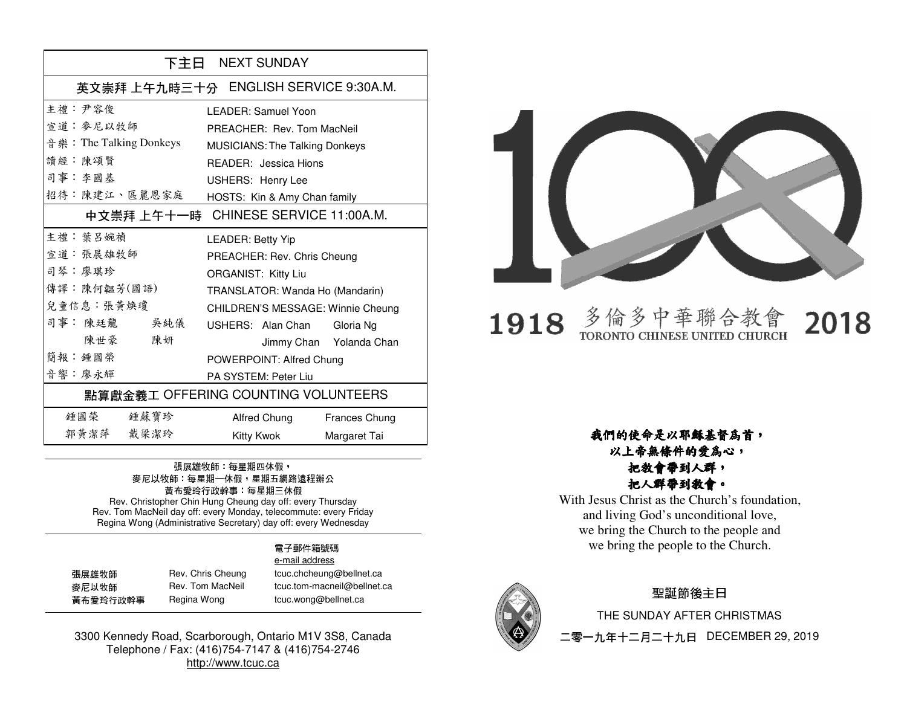| 下主日 NEXT SUNDAY                     |                                        |  |
|-------------------------------------|----------------------------------------|--|
|                                     | 英文崇拜 上午九時三十分 ENGLISH SERVICE 9:30A.M.  |  |
| 主禮: 尹容俊                             | LEADER: Samuel Yoon                    |  |
| 宣道 · 麥尼以牧師                          | PREACHER: Rev. Tom MacNeil             |  |
| 音 樂: The Talking Donkeys            | <b>MUSICIANS: The Talking Donkeys</b>  |  |
| 讀經:陳頌賢                              | READER: Jessica Hions                  |  |
| 司事:李國基                              | USHERS: Henry Lee                      |  |
| 招待:陳建江、區麗恩家庭                        | HOSTS: Kin & Amy Chan family           |  |
|                                     | 中文崇拜 上午十一時 - CHINESE SERVICE 11:00A.M. |  |
| 主禮 · 葉呂婉禎                           | <b>LEADER: Betty Yip</b>               |  |
| 宣道: 張展雄牧師                           | PREACHER: Rev. Chris Cheung            |  |
| 司琴:廖琪珍                              | ORGANIST: Kitty Liu                    |  |
| 傳譯:陳何韞芳(國語)                         | TRANSLATOR: Wanda Ho (Mandarin)        |  |
| 兒童信息:張黃煥瓊                           | CHILDREN'S MESSAGE: Winnie Cheung      |  |
| 司事:陳廷龍 吴純儀                          | USHERS: Alan Chan<br>Gloria Ng         |  |
| 陳世豪 陳妍                              | Jimmy Chan Yolanda Chan                |  |
| 簡報: 鍾國榮                             | POWERPOINT: Alfred Chung               |  |
| 音響:廖永輝                              | PA SYSTEM: Peter Liu                   |  |
| 點算獻金義工 OFFERING COUNTING VOLUNTEERS |                                        |  |
| 鍾國榮 鍾蘇寶珍                            | Alfred Chung<br>Frances Chung          |  |
| 郭黄潔萍 戴梁潔玲                           | Kitty Kwok<br>Margaret Tai             |  |

## 張展雄牧師: 每星期四休假, 麥尼以牧師:每星期一休假,星期五網路遠程辦公 黃布愛玲行政幹事:每星期三休假 Rev. Christopher Chin Hung Cheung day off: every Thursday

 Rev. Tom MacNeil day off: every Monday, telecommute: every Friday Regina Wong (Administrative Secretary) day off: every Wednesday

#### 電子郵件箱號碼 e-mail address

| 張展雄牧師    |  |
|----------|--|
| 麥尼以牧師    |  |
| 黃布愛玲行政幹事 |  |

張展雄牧師 Rev. Chris Cheung tcuc.chcheung@bellnet.ca **麥尼以牧師 Rev. Tom MacNeil tcuc.tom-macneil@bellnet.ca** Regina Wong tcuc.wong@bellnet.ca

3300 Kennedy Road, Scarborough, Ontario M1V 3S8, Canada Telephone / Fax: (416)754-7147 & (416)754-2746 http://www.tcuc.ca



#### 多倫多中華聯合教 1918 TORONTO CHINESE UNITED CHURCH

2018

### 我們的使命是以耶穌基督為首,以上帝無條件的愛為心,

### 把教會帶到人群,把人群帶到教會。

 With Jesus Christ as the Church's foundation, and living God's unconditional love, we bring the Church to the people and we bring the people to the Church.



## 聖誕節後主日

 THE SUNDAY AFTER CHRISTMAS 二零一九年十二月二十九日 DECEMBER 29, 2019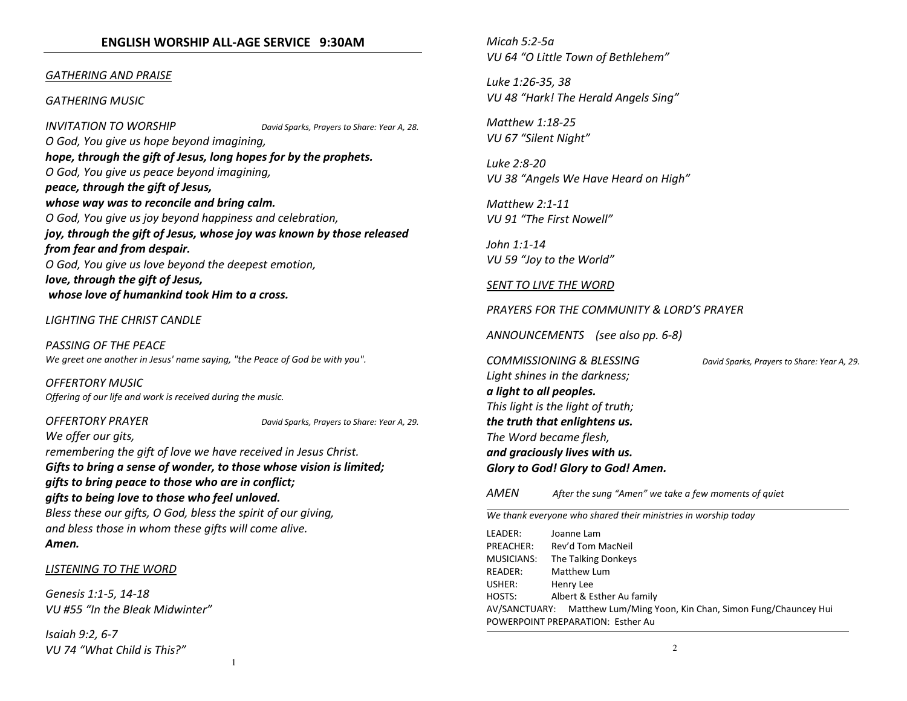#### ENGLISH WORSHIP ALL-AGE SERVICE 9:30AM

#### GATHERING AND PRAISE

#### GATHERING MUSIC

INVITATION TO WORSHIP David Sparks, Prayers to Share: Year A, 28. O God, You give us hope beyond imagining, hope, through the gift of Jesus, long hopes for by the prophets.O God, You give us peace beyond imagining, peace, through the gift of Jesus, whose way was to reconcile and bring calm.O God, You give us joy beyond happiness and celebration, joy, through the gift of Jesus, whose joy was known by those released from fear and from despair.O God, You give us love beyond the deepest emotion,love, through the gift of Jesus, whose love of humankind took Him to a cross.

#### LIGHTING THE CHRIST CANDLE

PASSING OF THE PEACE We greet one another in Jesus' name saying, "the Peace of God be with you".

OFFERTORY MUSIC Offering of our life and work is received during the music.

OFFERTORY PRAYER David Sparks, Prayers to Share: Year A, 29.

We offer our gits,

remembering the gift of love we have received in Jesus Christ.

Gifts to bring a sense of wonder, to those whose vision is limited; gifts to bring peace to those who are in conflict; gifts to being love to those who feel unloved. Bless these our gifts, O God, bless the spirit of our giving, and bless those in whom these gifts will come alive. Amen.

#### LISTENING TO THE WORD

Genesis 1:1-5, 14-18 VU #55 "In the Bleak Midwinter"

Isaiah 9:2, 6-7 VU 74 "What Child is This?" Micah 5:2-5a VU 64 "O Little Town of Bethlehem"

Luke 1:26-35, 38 VU 48 "Hark! The Herald Angels Sing"

Matthew 1:18-25 VU 67 "Silent Night"

Luke 2:8-20 VU 38 "Angels We Have Heard on High"

Matthew 2:1-11 VU 91 "The First Nowell"

John 1:1-14 VU 59 "Joy to the World"

#### SENT TO LIVE THE WORD

PRAYERS FOR THE COMMUNITY & LORD'S PRAYER

ANNOUNCEMENTS (see also pp. 6-8)

COMMISSIONING & BLESSING David Sparks, Prayers to Share: Year A, 29. Light shines in the darkness; a light to all peoples.This light is the light of truth; the truth that enlightens us.The Word became flesh, and graciously lives with us. Glory to God! Glory to God! Amen.

**AMFN** After the sung "Amen" we take a few moments of quiet

| We thank everyone who shared their ministries in worship today |                                                                        |  |
|----------------------------------------------------------------|------------------------------------------------------------------------|--|
| LEADER:                                                        | Joanne Lam                                                             |  |
| PREACHER:                                                      | Rev'd Tom MacNeil                                                      |  |
| <b>MUSICIANS:</b>                                              | The Talking Donkeys                                                    |  |
| READER:                                                        | Matthew Lum                                                            |  |
| USHER:                                                         | Henry Lee                                                              |  |
| HOSTS:                                                         | Albert & Esther Au family                                              |  |
|                                                                | AV/SANCTUARY: Matthew Lum/Ming Yoon, Kin Chan, Simon Fung/Chauncey Hui |  |
|                                                                | POWERPOINT PREPARATION: Esther Au                                      |  |
|                                                                |                                                                        |  |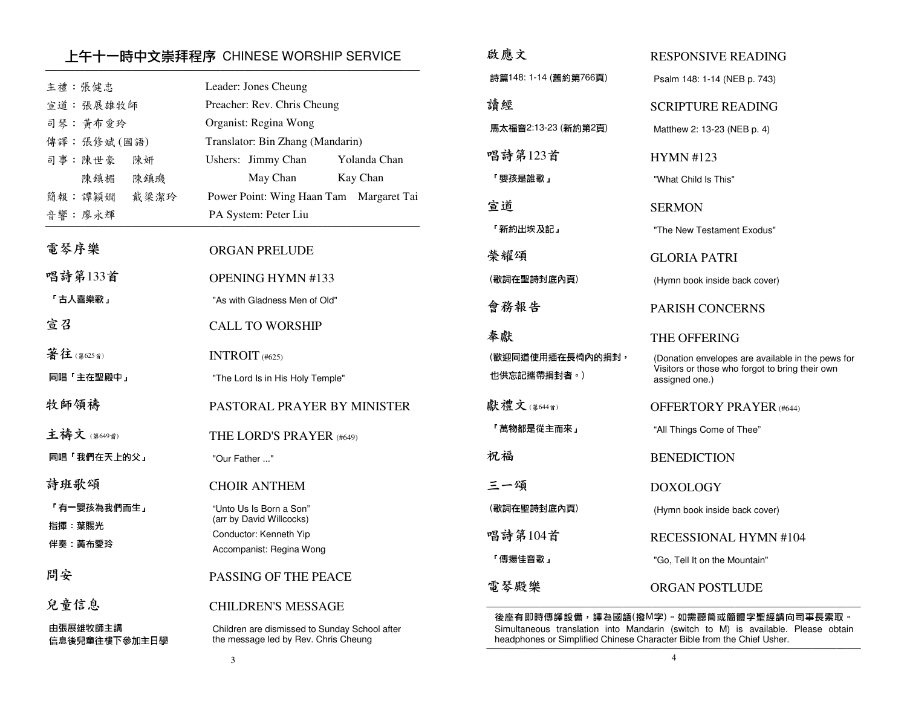# 上午十一時中文崇拜程序 CHINESE WORSHIP SERVICE ─────────────────────────────────────────────────────────────────────────────

|                           |                                                                                       | 詩篇1        |
|---------------------------|---------------------------------------------------------------------------------------|------------|
| 主禮:張健忠                    | Leader: Jones Cheung                                                                  |            |
| 宣道:張展雄牧師                  | Preacher: Rev. Chris Cheung                                                           | 讀經         |
| 司琴:黄布愛玲                   | Organist: Regina Wong                                                                 | 馬太礼        |
| 傳譯:張修斌(國語)                | Translator: Bin Zhang (Mandarin)                                                      |            |
| 司事:陳世豪<br>陳妍              | Ushers: Jimmy Chan<br>Yolanda Chan                                                    | 唱詩         |
| 陳鎮楣<br>陳鎮璣                | May Chan<br>Kay Chan                                                                  | 「嬰孔        |
| 簡報:譚穎嫺<br>戴梁潔玲            | Power Point: Wing Haan Tam Margaret Tai                                               | 官道         |
| 音響:廖永輝                    | PA System: Peter Liu                                                                  |            |
|                           |                                                                                       | 「新約        |
| 電琴序樂                      | <b>ORGAN PRELUDE</b>                                                                  | 榮耀         |
| 唱詩第133首                   | OPENING HYMN #133                                                                     | (歌詞        |
| 「古人喜樂歌」                   | "As with Gladness Men of Old"                                                         | 會務         |
| 宣召                        | <b>CALL TO WORSHIP</b>                                                                |            |
|                           |                                                                                       | 奉獻         |
| 著往(第625首)                 | INTROIT (#625)                                                                        | (歡迎        |
| 同唱「主在聖殿中」                 | "The Lord Is in His Holy Temple"                                                      | 也供】        |
| 牧師領禱                      | PASTORAL PRAYER BY MINISTER                                                           | 獻禮         |
| 主禱文(第649首)                | THE LORD'S PRAYER (#649)                                                              | 「萬4        |
| 同唱「我們在天上的父」               | "Our Father "                                                                         | 祝福         |
| 詩班歌頌                      | <b>CHOIR ANTHEM</b>                                                                   | ミー         |
| 「有一嬰孩為我們而生」               | "Unto Us Is Born a Son"<br>(arr by David Willcocks)                                   | (歌詞        |
| 指揮:葉賜光                    | Conductor: Kenneth Yip                                                                | 唱詩         |
| 伴奏 黃布愛玲                   | Accompanist: Regina Wong                                                              | 「傳         |
| 問安                        | PASSING OF THE PEACE                                                                  | 電琴         |
| 兒童信息                      | <b>CHILDREN'S MESSAGE</b>                                                             |            |
|                           |                                                                                       | 後座         |
| 由張展雄牧師主講<br>信息後兒童往樓下參加主日學 | Children are dismissed to Sunday School after<br>the message led by Rev. Chris Cheung | Sim<br>hea |
|                           |                                                                                       |            |

| 啟應文                             | <b>RESPONSIVE READING</b>                                                                                              |
|---------------------------------|------------------------------------------------------------------------------------------------------------------------|
| 詩篇148:1-14 (舊約第766頁)            | Psalm 148: 1-14 (NEB p. 743)                                                                                           |
| 請經                              | SCRIPTURE READING                                                                                                      |
| 馬太福音2:13-23 (新約第2頁)             | Matthew 2: 13-23 (NEB p. 4)                                                                                            |
| 唱詩第123首                         | <b>HYMN #123</b>                                                                                                       |
| 「嬰孩是誰歌」                         | "What Child Is This"                                                                                                   |
| 宣道                              | <b>SERMON</b>                                                                                                          |
| 「新約出埃及記」                        | "The New Testament Exodus"                                                                                             |
| 榮耀頌                             | GLORIA PATRI                                                                                                           |
| (歌詞在聖詩封底內頁)                     | (Hymn book inside back cover)                                                                                          |
| 會務報告                            | <b>PARISH CONCERNS</b>                                                                                                 |
|                                 |                                                                                                                        |
| 奉獻                              | <b>THE OFFERING</b>                                                                                                    |
| (歡迎同道使用插在長椅內的捐封,<br>也供忘記攜帶捐封者。) | (Donation envelopes are available in the pews for<br>Visitors or those who forgot to bring their own<br>assigned one.) |
| 獻禮文(第644首)                      | <b>OFFERTORY PRAYER (#644)</b>                                                                                         |
| 「萬物都是從主而來」                      | "All Things Come of Thee"                                                                                              |
| 祝福                              | <b>BENEDICTION</b>                                                                                                     |
| 三一頌                             | <b>DOXOLOGY</b>                                                                                                        |
| (歌詞在聖詩封底內頁)                     | (Hymn book inside back cover)                                                                                          |
| 唱詩第104首                         | RECESSIONAL HYMN #104                                                                                                  |
| 「傳揚佳音歌」                         | "Go, Tell It on the Mountain"                                                                                          |

 後座有即時傳譯設備,譯為國語(撥M字)。如需聽筒或簡體字聖經請向司事長索取。 Simultaneous translation into Mandarin (switch to M) is available. Please obtain headphones or Simplified Chinese Character Bible from the Chief Usher.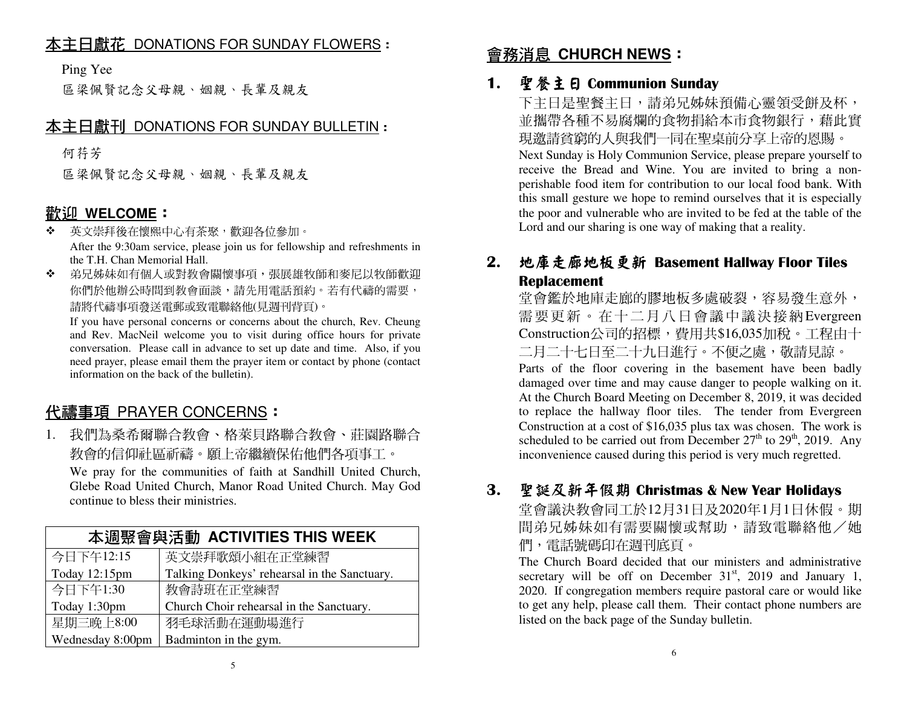# 本主日獻花 DONATIONS FOR SUNDAY FLOWERS:

Ping Yee

區梁佩賢記念父母親、姻親、長輩及親友

# 本主日獻刊 DONATIONS FOR SUNDAY BULLETIN:

何荇芳

區梁佩賢記念父母親、姻親、長輩及親友

# **歡<u>迎 WELCOME</u>:**<br>❖ 英文崇拜後在懷熙□

- 英文崇拜後在懷熙中心有茶聚,歡迎各位參加。❖ After the 9:30am service, please join us for fellowship and refreshments in the T.H. Chan Memorial Hall.
- ◆ 弟兄姊妹如有個人或對教會關懷事項,張展雄牧師和麥尼以牧師歡迎  $\cdot$ 你們於他辦公時間到教會面談,請先用電話預約。若有代禱的需要, 請將代禱事項發送電郵或致電聯絡他(見週刊背頁)。

 If you have personal concerns or concerns about the church, Rev. Cheung and Rev. MacNeil welcome you to visit during office hours for private conversation. Please call in advance to set up date and time. Also, if you need prayer, please email them the prayer item or contact by phone (contact information on the back of the bulletin).

# <u>代禱事項 PRAYER CONCERNS</u>:<br>1 我們为桑各哥聯合**物合 坎**蒂貝略

1. 我們為桑希爾聯合教會、格萊貝路聯合教會、莊園路聯合教會的信仰社區祈禱。願上帝繼續保佑他們各項事工。

 We pray for the communities of faith at Sandhill United Church, Glebe Road United Church, Manor Road United Church. May God continue to bless their ministries.

| 本週聚會與活動 ACTIVITIES THIS WEEK |                                              |  |
|------------------------------|----------------------------------------------|--|
| 今日下午12:15                    | 英文崇拜歌頌小組在正堂練習                                |  |
| Today 12:15pm                | Talking Donkeys' rehearsal in the Sanctuary. |  |
| 今日下午1:30                     | 教會詩班在正堂練習                                    |  |
| Today 1:30pm                 | Church Choir rehearsal in the Sanctuary.     |  |
| 星期三晚上8:00                    | 羽毛球活動在運動場進行                                  |  |
| Wednesday 8:00pm             | Badminton in the gym.                        |  |

# 會務消息 **CHURCH NEWS**:

### 1.. 聖餐主日 Communion Sunday<br>- 下士曰具取祭士曰,請弟兄就桂

下主日是聖餐主日,請弟兄姊妹預備心靈領受餅及杯, 並攜帶各種不易腐爛的食物捐給本市食物銀行,藉此實 現邀請貧窮的人與我們一同在聖桌前分享上帝的恩賜。 Next Sunday is Holy Communion Service, please prepare yourself to receive the Bread and Wine. You are invited to bring a nonperishable food item for contribution to our local food bank. With this small gesture we hope to remind ourselves that it is especially the poor and vulnerable who are invited to be fed at the table of the Lord and our sharing is one way of making that a reality.

#### 2.. 地庫走廊地板更新 Basement Hallway Floor Tiles<br>Renlacement Replacement

堂會鑑於地庫走廊的膠地板多處破裂,容易發生意外, 需要更新。在十二月八日會議中議決接納Evergreen Construction公司的招標,費用共\$16,035加稅。工程由十二月二十七日至二十九日進行。不便之處,敬請見諒。 Parts of the floor covering in the basement have been badly damaged over time and may cause danger to people walking on it. At the Church Board Meeting on December 8, 2019, it was decided to replace the hallway floor tiles. The tender from Evergreen Construction at a cost of \$16,035 plus tax was chosen. The work is scheduled to be carried out from December  $27<sup>th</sup>$  to  $29<sup>th</sup>$ , 2019. Any inconvenience caused during this period is very much regretted.

### 3.聖誕及新年假期 Christmas & New Year Holidays

堂會議決教會同工於12月31日及2020年1月1日休假。期間弟兄姊妹如有需要關懷或幫助,請致電聯絡他/她 們,電話號碼印在週刊底頁。

 The Church Board decided that our ministers and administrative secretary will be off on December  $31<sup>st</sup>$ , 2019 and January 1, 2020. If congregation members require pastoral care or would like to get any help, please call them. Their contact phone numbers are listed on the back page of the Sunday bulletin.